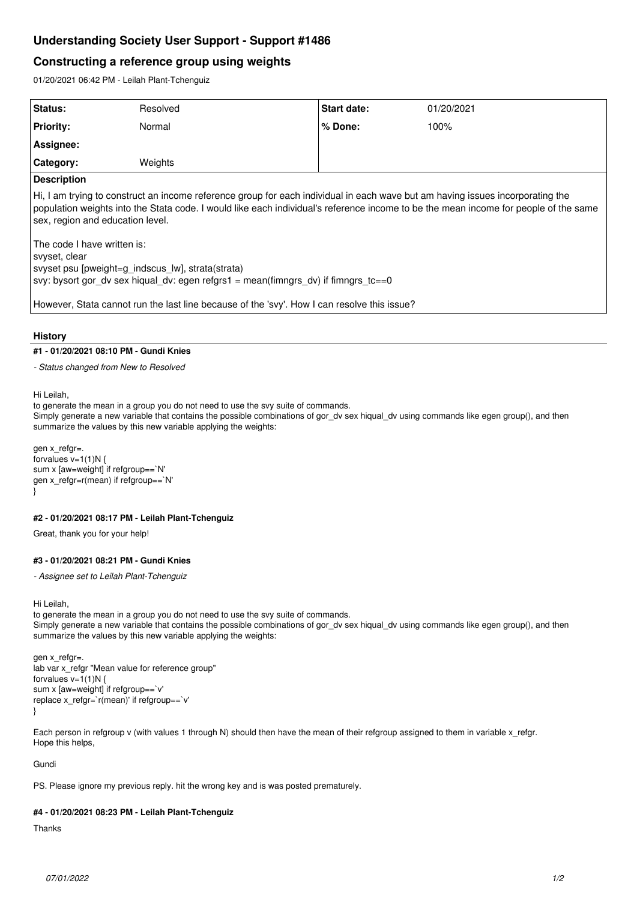# **Understanding Society User Support - Support #1486**

## **Constructing a reference group using weights**

01/20/2021 06:42 PM - Leilah Plant-Tchenguiz

| Status:                                                                                                                                                                                                                                                                                                                                                                                                                                                                                                                                                                                               | Resolved | <b>Start date:</b> | 01/20/2021 |
|-------------------------------------------------------------------------------------------------------------------------------------------------------------------------------------------------------------------------------------------------------------------------------------------------------------------------------------------------------------------------------------------------------------------------------------------------------------------------------------------------------------------------------------------------------------------------------------------------------|----------|--------------------|------------|
| <b>Priority:</b>                                                                                                                                                                                                                                                                                                                                                                                                                                                                                                                                                                                      | Normal   | $%$ Done:          | 100%       |
| Assignee:                                                                                                                                                                                                                                                                                                                                                                                                                                                                                                                                                                                             |          |                    |            |
| <b>Category:</b>                                                                                                                                                                                                                                                                                                                                                                                                                                                                                                                                                                                      | Weights  |                    |            |
| <b>Description</b>                                                                                                                                                                                                                                                                                                                                                                                                                                                                                                                                                                                    |          |                    |            |
| Hi, I am trying to construct an income reference group for each individual in each wave but am having issues incorporating the<br>population weights into the Stata code. I would like each individual's reference income to be the mean income for people of the same<br>sex, region and education level.<br>The code I have written is:<br> svyset, clear<br>svyset psu [pweight=g indscus lw], strata(strata)<br>svy: bysort gor dv sex hiqual dv: egen refgrs1 = mean(fimngrs dv) if fimngrs tc==0<br>However, Stata cannot run the last line because of the 'svy'. How I can resolve this issue? |          |                    |            |

### **History**

### **#1 - 01/20/2021 08:10 PM - Gundi Knies**

*- Status changed from New to Resolved*

Hi Leilah,

to generate the mean in a group you do not need to use the svy suite of commands.

Simply generate a new variable that contains the possible combinations of gor\_dv sex hiqual\_dv using commands like egen group(), and then summarize the values by this new variable applying the weights:

```
gen x_refgr=.
forvalues v=1(1)N {
sum x [aw=weight] if refgroup==`N'
gen x_refgr=r(mean) if refgroup==`N'
}
```
**#2 - 01/20/2021 08:17 PM - Leilah Plant-Tchenguiz**

Great, thank you for your help!

## **#3 - 01/20/2021 08:21 PM - Gundi Knies**

*- Assignee set to Leilah Plant-Tchenguiz*

Hi Leilah,

to generate the mean in a group you do not need to use the svy suite of commands. Simply generate a new variable that contains the possible combinations of gor\_dv sex hiqual\_dv using commands like egen group(), and then summarize the values by this new variable applying the weights:

```
gen x_refgr=.
lab var x refgr "Mean value for reference group"
forvalues v=1(1)N {
sum x [aw=weight] if refgroup==`v'
replace x_refgr=`r(mean)' if refgroup==`v'
}
```
Each person in refgroup v (with values 1 through N) should then have the mean of their refgroup assigned to them in variable x refgr. Hope this helps,

Gundi

PS. Please ignore my previous reply. hit the wrong key and is was posted prematurely.

### **#4 - 01/20/2021 08:23 PM - Leilah Plant-Tchenguiz**

Thanks